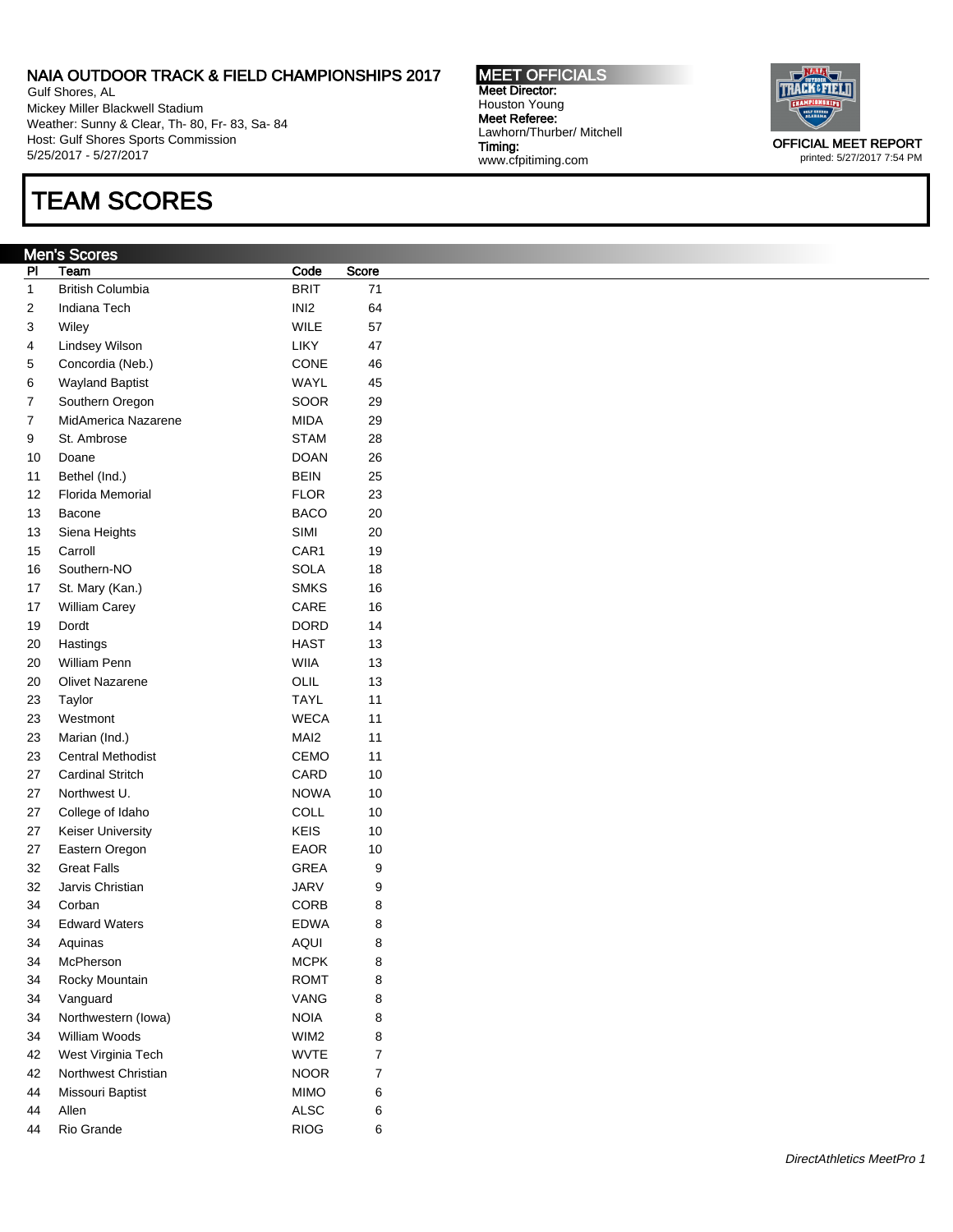Gulf Shores, AL Mickey Miller Blackwell Stadium Weather: Sunny & Clear, Th- 80, Fr- 83, Sa- 84 Host: Gulf Shores Sports Commission 5/25/2017 - 5/27/2017

## TEAM SCORES

#### Men's Scores

| PI | Team                     | Code             | Score |
|----|--------------------------|------------------|-------|
| 1  | British Columbia         | <b>BRIT</b>      | 71    |
| 2  | Indiana Tech             | INI2             | 64    |
| 3  | Wiley                    | WILE             | 57    |
| 4  | Lindsey Wilson           | LIKY             | 47    |
| 5  | Concordia (Neb.)         | CONE             | 46    |
| 6  | <b>Wayland Baptist</b>   | WAYL             | 45    |
| 7  | Southern Oregon          | SOOR             | 29    |
| 7  | MidAmerica Nazarene      | MIDA             | 29    |
| 9  | St. Ambrose              | <b>STAM</b>      | 28    |
| 10 | Doane                    | DOAN             | 26    |
| 11 | Bethel (Ind.)            | <b>BEIN</b>      | 25    |
| 12 | Florida Memorial         | FLOR             | 23    |
| 13 | Bacone                   | BACO             | 20    |
| 13 | Siena Heights            | <b>SIMI</b>      | 20    |
| 15 | Carroll                  | CAR1             | 19    |
| 16 | Southern-NO              | SOLA             | 18    |
| 17 | St. Mary (Kan.)          | <b>SMKS</b>      | 16    |
| 17 | William Carey            | CARE             | 16    |
| 19 | Dordt                    | DORD             | 14    |
| 20 | Hastings                 | HAST             | 13    |
| 20 | William Penn             | WIIA             | 13    |
| 20 | <b>Olivet Nazarene</b>   | OLIL             | 13    |
| 23 | Taylor                   | <b>TAYL</b>      | 11    |
| 23 | Westmont                 | WECA             | 11    |
| 23 | Marian (Ind.)            | MAI <sub>2</sub> | 11    |
| 23 | <b>Central Methodist</b> | CEMO             | 11    |
| 27 | <b>Cardinal Stritch</b>  | CARD             | 10    |
| 27 | Northwest U.             | <b>NOWA</b>      | 10    |
| 27 | College of Idaho         | COLL             | 10    |
| 27 | <b>Keiser University</b> | KEIS             | 10    |
| 27 | Eastern Oregon           | EAOR             | 10    |
| 32 | <b>Great Falls</b>       | GREA             | 9     |
| 32 | Jarvis Christian         | JARV             | 9     |
| 34 | Corban                   | CORB             | 8     |
| 34 | <b>Edward Waters</b>     | <b>EDWA</b>      | 8     |
| 34 | Aquinas                  | AQUI             | 8     |
| 34 | McPherson                | <b>MCPK</b>      | 8     |
| 34 | Rocky Mountain           | ROMT             | 8     |
| 34 | Vanguard                 | VANG             | 8     |
| 34 | Northwestern (lowa)      | NOIA             | 8     |
| 34 | William Woods            | WIM2             | 8     |
| 42 | West Virginia Tech       | WVTE             | 7     |
| 42 | Northwest Christian      | <b>NOOR</b>      | 7     |
| 44 | Missouri Baptist         | <b>MIMO</b>      | 6     |
| 44 | Allen                    | ALSC             | 6     |
| 44 | Rio Grande               | <b>RIOG</b>      | 6     |

MEET OFFICIALS Meet Director: Houston Young Meet Referee: Lawhorn/Thurber/ Mitchell Timing: www.cfpitiming.com



printed: 5/27/2017 7:54 PM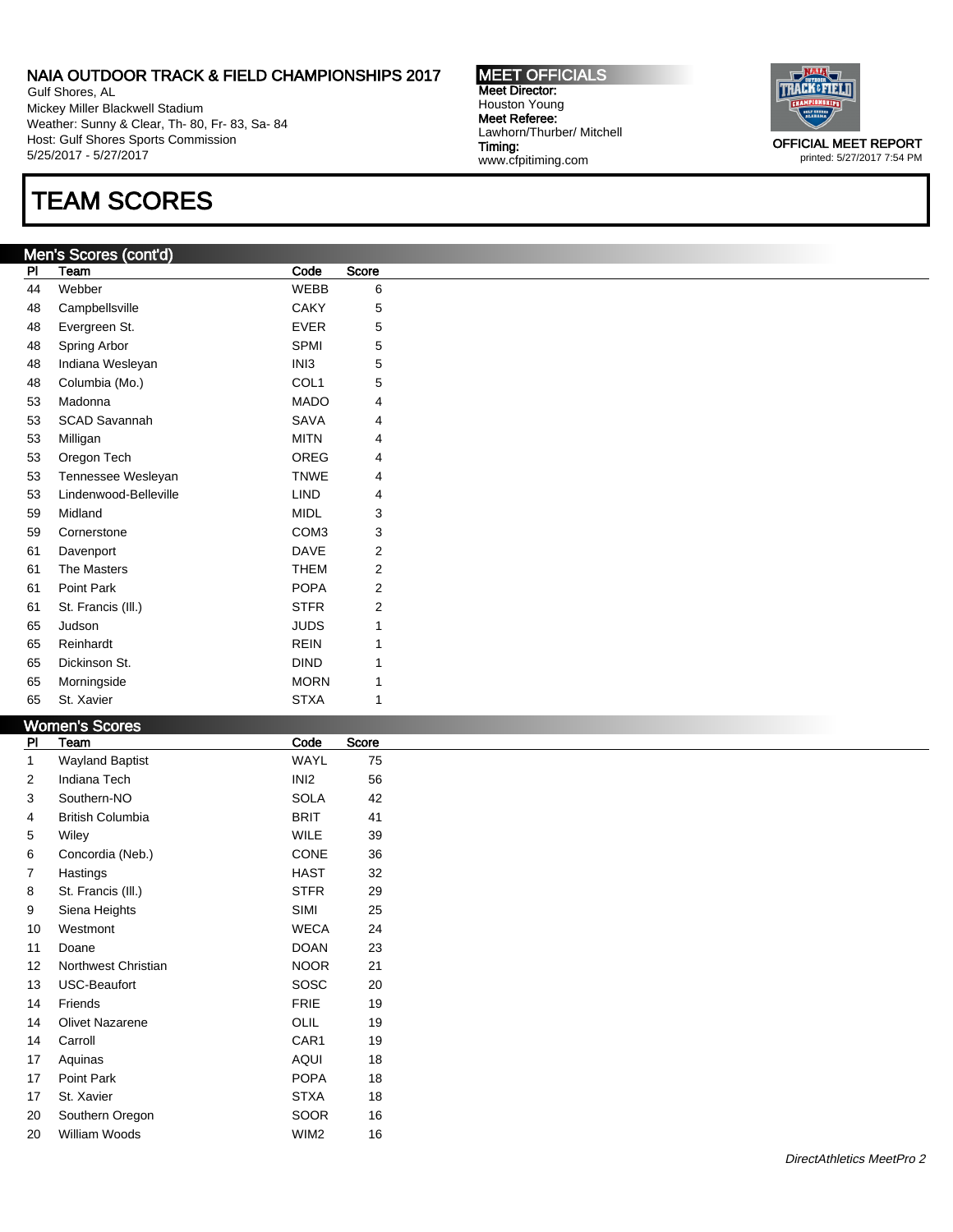Gulf Shores, AL Mickey Miller Blackwell Stadium Weather: Sunny & Clear, Th- 80, Fr- 83, Sa- 84 Host: Gulf Shores Sports Commission 5/25/2017 - 5/27/2017

# TEAM SCORES

### Men's Scores (cont'd)

| PI | Team                  | Code             | Score |
|----|-----------------------|------------------|-------|
| 44 | Webber                | <b>WEBB</b>      | 6     |
| 48 | Campbellsville        | <b>CAKY</b>      | 5     |
| 48 | Evergreen St.         | <b>EVER</b>      | 5     |
| 48 | Spring Arbor          | <b>SPMI</b>      | 5     |
| 48 | Indiana Wesleyan      | IN <sub>13</sub> | 5     |
| 48 | Columbia (Mo.)        | COL <sub>1</sub> | 5     |
| 53 | Madonna               | <b>MADO</b>      | 4     |
| 53 | <b>SCAD Savannah</b>  | <b>SAVA</b>      | 4     |
| 53 | Milligan              | <b>MITN</b>      | 4     |
| 53 | Oregon Tech           | OREG             | 4     |
| 53 | Tennessee Wesleyan    | <b>TNWE</b>      | 4     |
| 53 | Lindenwood-Belleville | LIND             | 4     |
| 59 | Midland               | <b>MIDL</b>      | 3     |
| 59 | Cornerstone           | COM <sub>3</sub> | 3     |
| 61 | Davenport             | DAVE             | 2     |
| 61 | The Masters           | <b>THEM</b>      | 2     |
| 61 | Point Park            | <b>POPA</b>      | 2     |
| 61 | St. Francis (III.)    | <b>STFR</b>      | 2     |
| 65 | Judson                | <b>JUDS</b>      | 1     |
| 65 | Reinhardt             | <b>REIN</b>      | 1     |
| 65 | Dickinson St.         | <b>DIND</b>      | 1     |
| 65 | Morningside           | <b>MORN</b>      | 1     |
| 65 | St. Xavier            | <b>STXA</b>      | 1     |

#### Women's Sc

|                | סטוווטווט טעטע          |                  |       |  |  |
|----------------|-------------------------|------------------|-------|--|--|
| P <sub>1</sub> | Team                    | Code             | Score |  |  |
| 1              | <b>Wayland Baptist</b>  | <b>WAYL</b>      | 75    |  |  |
| $\overline{2}$ | Indiana Tech            | INI <sub>2</sub> | 56    |  |  |
| 3              | Southern-NO             | <b>SOLA</b>      | 42    |  |  |
| 4              | <b>British Columbia</b> | <b>BRIT</b>      | 41    |  |  |
| 5              | Wiley                   | <b>WILE</b>      | 39    |  |  |
| 6              | Concordia (Neb.)        | CONE             | 36    |  |  |
| 7              | Hastings                | <b>HAST</b>      | 32    |  |  |
| 8              | St. Francis (III.)      | <b>STFR</b>      | 29    |  |  |
| 9              | Siena Heights           | SIMI             | 25    |  |  |
| 10             | Westmont                | <b>WECA</b>      | 24    |  |  |
| 11             | Doane                   | <b>DOAN</b>      | 23    |  |  |
| 12             | Northwest Christian     | <b>NOOR</b>      | 21    |  |  |
| 13             | USC-Beaufort            | SOSC             | 20    |  |  |
| 14             | Friends                 | <b>FRIE</b>      | 19    |  |  |
| 14             | Olivet Nazarene         | OLIL             | 19    |  |  |
| 14             | Carroll                 | CAR1             | 19    |  |  |
| 17             | Aquinas                 | <b>AQUI</b>      | 18    |  |  |
| 17             | Point Park              | <b>POPA</b>      | 18    |  |  |
| 17             | St. Xavier              | <b>STXA</b>      | 18    |  |  |
| 20             | Southern Oregon         | SOOR             | 16    |  |  |
| 20             | William Woods           | WIM2             | 16    |  |  |

MEET OFFICIALS Meet Director: Houston Young Meet Referee: Lawhorn/Thurber/ Mitchell Timing: www.cfpitiming.com

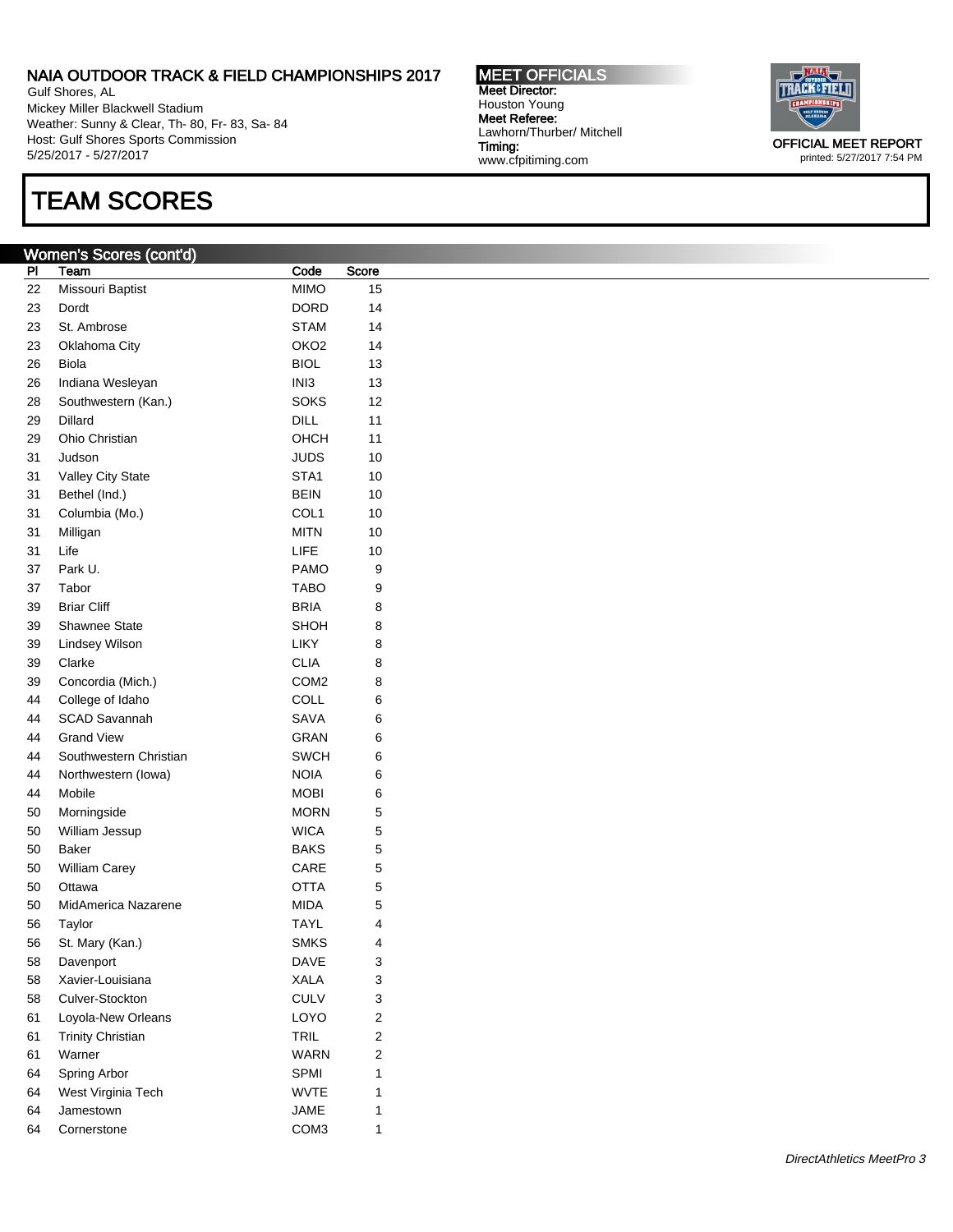Gulf Shores, AL Mickey Miller Blackwell Stadium Weather: Sunny & Clear, Th- 80, Fr- 83, Sa- 84 Host: Gulf Shores Sports Commission 5/25/2017 - 5/27/2017

## TEAM SCORES

### Women's Scores (cont'd)

Pl Team **Code** Score 22 Missouri Baptist **MIMO** 15 23 Dordt DORD 14 23 St. Ambrose STAM 14 23 Oklahoma City **OKO2** 14 26 Biola BIOL 13 26 Indiana Wesleyan **INI3** 13 28 Southwestern (Kan.) SOKS 12 29 Dillard **DILL** 11 29 Ohio Christian **OHCH** 11 31 Judson 31 JUDS 10 31 Valley City State STA1 10 31 Bethel (Ind.) BEIN 10 31 Columbia (Mo.) COL1 10 31 Milligan MITN 10 31 Life 2011 10 37 Park U. No. 2012 12:33 PAMO 9 37 Tabor TABO 9 39 Briar Cliff **BRIA** 8 39 Shawnee State State SHOH 8 39 Lindsey Wilson **LIKY** 8 39 Clarke CLIA 8 39 Concordia (Mich.) COM2 8 44 College of Idaho COLL 6 44 SCAD Savannah SAVA 6 44 Grand View GRAN 6 44 Southwestern Christian **SWCH** 6 44 Northwestern (Iowa) **NOIA** 6 44 Mobile 6 and 50 MOBI 50 Morningside MORN 5 50 William Jessup **WICA** 5 50 Baker 5 and 5 BAKS 5 50 William Carey CARE 5 50 Ottawa OTTA 5 50 MidAmerica Nazarene MIDA 5 56 Taylor TAYL 4 56 St. Mary (Kan.) SMKS 4 58 Davenport 2008 2012 12:00 DAVE 3 58 Xavier-Louisiana **XALA** 3 58 Culver-Stockton CULV 3 61 Loyola-New Orleans LOYO 2 61 Trinity Christian **TRIL** 2 61 Warner WARN 2 64 Spring Arbor **SPMI** 1 64 West Virginia Tech WVTE 1 64 Jamestown 1 JAME 1 64 Cornerstone COM3 1

MEET OFFICIALS Meet Director: Houston Young Meet Referee: Lawhorn/Thurber/ Mitchell Timing: www.cfpitiming.com



printed: 5/27/2017 7:54 PM